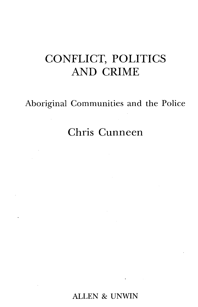## CONFLICT, POLITICS AND CRIME

Aboriginal Communities and the Police

## Chris Cunneen

ALLEN & UNWIN

 $\mathbf{r} = \mathbf{r} \times \mathbf{r}$  , where  $\mathbf{r}$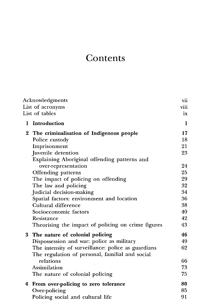## **Contents**

| Acknowledgments<br>List of acronyms |                                                    | vii<br>viii |
|-------------------------------------|----------------------------------------------------|-------------|
|                                     | List of tables                                     | ix          |
| 1                                   | Introduction                                       | 1           |
| 2                                   | The criminalisation of Indigenous people           | 17          |
|                                     | Police custody                                     | 18          |
|                                     | Imprisonment                                       | 21          |
|                                     | Juvenile detention                                 | 23          |
|                                     | Explaining Aboriginal offending patterns and       |             |
|                                     | over-representation                                | 24          |
|                                     | Offending patterns                                 | 25          |
|                                     | The impact of policing on offending                | 29          |
|                                     | The law and policing                               | 32          |
|                                     | Judicial decision-making                           | 34          |
|                                     | Spatial factors: environment and location          | 36          |
|                                     | Cultural difference                                | 38          |
|                                     | Socioeconomic factors                              | 40          |
|                                     | Resistance                                         | 42          |
|                                     | Theorising the impact of policing on crime figures | 43          |
| 3                                   | The nature of colonial policing                    | 46          |
|                                     | Dispossession and war: police as military          | 49          |
|                                     | The intensity of surveillance: police as guardians | 62          |
|                                     | The regulation of personal, familial and social    |             |
|                                     | relations                                          | 66          |
|                                     | Assimilation                                       | 73          |
|                                     | The nature of colonial policing                    | 75          |
|                                     | 4 From over-policing to zero tolerance             | 80          |
|                                     | Over-policing                                      | 85          |
|                                     | Policing social and cultural life                  | 91          |